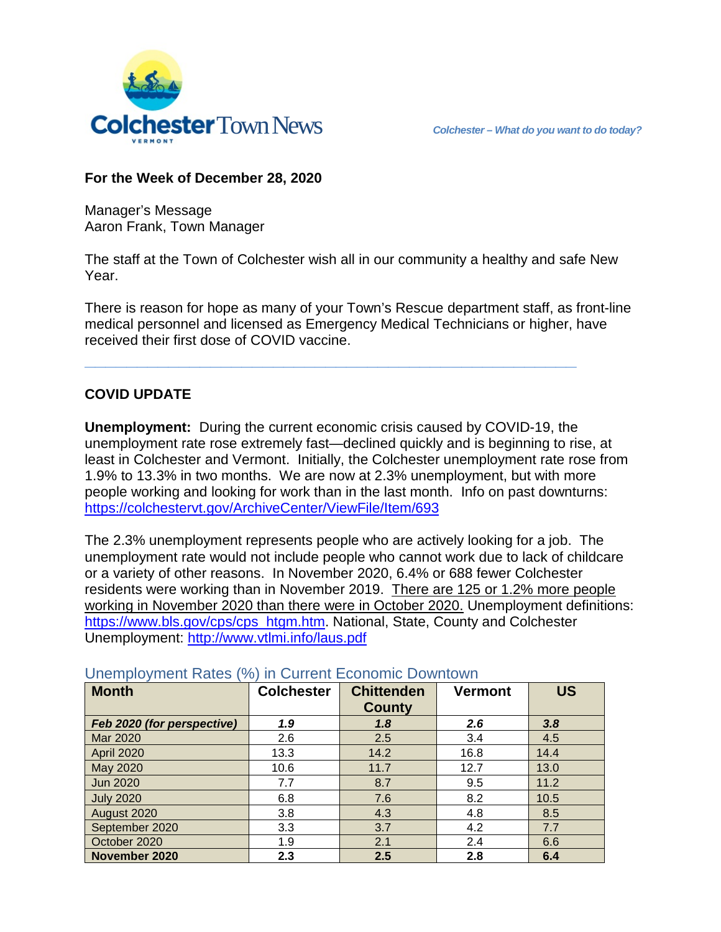

## **For the Week of December 28, 2020**

Manager's Message Aaron Frank, Town Manager

The staff at the Town of Colchester wish all in our community a healthy and safe New Year.

There is reason for hope as many of your Town's Rescue department staff, as front-line medical personnel and licensed as Emergency Medical Technicians or higher, have received their first dose of COVID vaccine.

**\_\_\_\_\_\_\_\_\_\_\_\_\_\_\_\_\_\_\_\_\_\_\_\_\_\_\_\_\_\_\_\_\_\_\_\_\_\_\_\_\_\_\_\_\_\_\_**

## **COVID UPDATE**

**Unemployment:** During the current economic crisis caused by COVID-19, the unemployment rate rose extremely fast—declined quickly and is beginning to rise, at least in Colchester and Vermont. Initially, the Colchester unemployment rate rose from 1.9% to 13.3% in two months. We are now at 2.3% unemployment, but with more people working and looking for work than in the last month. Info on past downturns: <https://colchestervt.gov/ArchiveCenter/ViewFile/Item/693>

The 2.3% unemployment represents people who are actively looking for a job. The unemployment rate would not include people who cannot work due to lack of childcare or a variety of other reasons. In November 2020, 6.4% or 688 fewer Colchester residents were working than in November 2019. There are 125 or 1.2% more people working in November 2020 than there were in October 2020. Unemployment definitions: [https://www.bls.gov/cps/cps\\_htgm.htm.](https://www.bls.gov/cps/cps_htgm.htm) National, State, County and Colchester Unemployment:<http://www.vtlmi.info/laus.pdf>

| <b>Month</b>               | <b>Colchester</b> | <b>Chittenden</b> | <b>Vermont</b> | <b>US</b> |
|----------------------------|-------------------|-------------------|----------------|-----------|
|                            |                   | <b>County</b>     |                |           |
| Feb 2020 (for perspective) | 1.9               | 1.8               | 2.6            | 3.8       |
| Mar 2020                   | 2.6               | 2.5               | 3.4            | 4.5       |
| <b>April 2020</b>          | 13.3              | 14.2              | 16.8           | 14.4      |
| May 2020                   | 10.6              | 11.7              | 12.7           | 13.0      |
| <b>Jun 2020</b>            | 7.7               | 8.7               | 9.5            | 11.2      |
| <b>July 2020</b>           | 6.8               | 7.6               | 8.2            | 10.5      |
| August 2020                | 3.8               | 4.3               | 4.8            | 8.5       |
| September 2020             | 3.3               | 3.7               | 4.2            | 7.7       |
| October 2020               | 1.9               | 2.1               | 2.4            | 6.6       |
| November 2020              | 2.3               | 2.5               | 2.8            | 6.4       |

Unemployment Rates (%) in Current Economic Downtown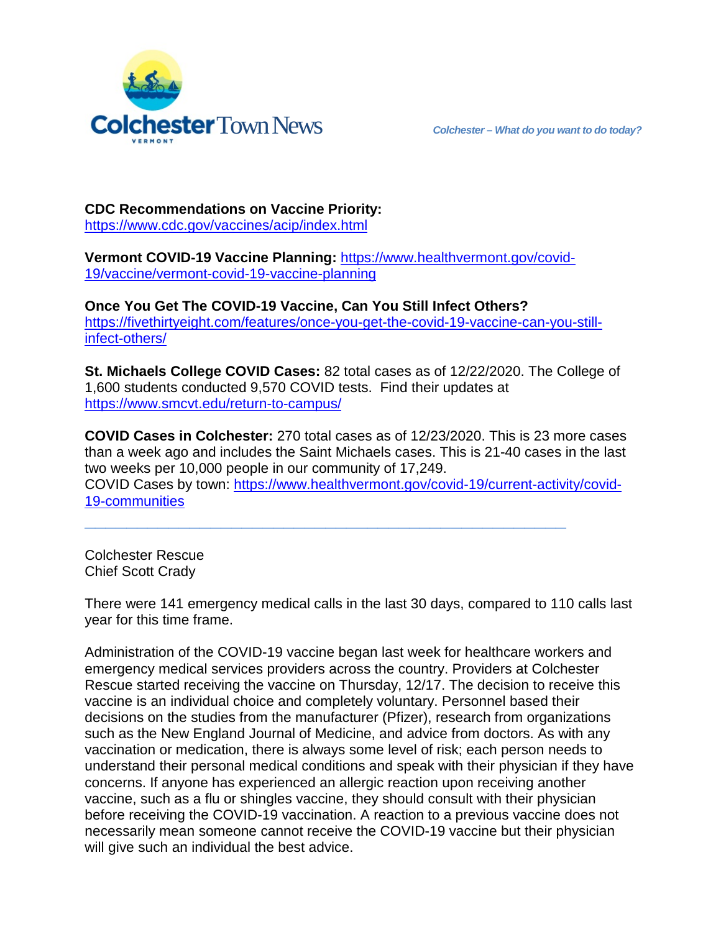

**CDC Recommendations on Vaccine Priority:**  <https://www.cdc.gov/vaccines/acip/index.html>

**Vermont COVID-19 Vaccine Planning:** [https://www.healthvermont.gov/covid-](https://www.healthvermont.gov/covid-19/vaccine/vermont-covid-19-vaccine-planning)[19/vaccine/vermont-covid-19-vaccine-planning](https://www.healthvermont.gov/covid-19/vaccine/vermont-covid-19-vaccine-planning)

**Once You Get The COVID-19 Vaccine, Can You Still Infect Others?** [https://fivethirtyeight.com/features/once-you-get-the-covid-19-vaccine-can-you-still](https://fivethirtyeight.com/features/once-you-get-the-covid-19-vaccine-can-you-still-infect-others/)[infect-others/](https://fivethirtyeight.com/features/once-you-get-the-covid-19-vaccine-can-you-still-infect-others/)

**St. Michaels College COVID Cases:** 82 total cases as of 12/22/2020. The College of 1,600 students conducted 9,570 COVID tests. Find their updates at <https://www.smcvt.edu/return-to-campus/>

**COVID Cases in Colchester:** 270 total cases as of 12/23/2020. This is 23 more cases than a week ago and includes the Saint Michaels cases. This is 21-40 cases in the last two weeks per 10,000 people in our community of 17,249. COVID Cases by town: [https://www.healthvermont.gov/covid-19/current-activity/covid-](https://www.healthvermont.gov/covid-19/current-activity/covid-19-communities)[19-communities](https://www.healthvermont.gov/covid-19/current-activity/covid-19-communities)

**\_\_\_\_\_\_\_\_\_\_\_\_\_\_\_\_\_\_\_\_\_\_\_\_\_\_\_\_\_\_\_\_\_\_\_\_\_\_\_\_\_\_\_\_\_\_**

Colchester Rescue Chief Scott Crady

There were 141 emergency medical calls in the last 30 days, compared to 110 calls last year for this time frame.

Administration of the COVID-19 vaccine began last week for healthcare workers and emergency medical services providers across the country. Providers at Colchester Rescue started receiving the vaccine on Thursday, 12/17. The decision to receive this vaccine is an individual choice and completely voluntary. Personnel based their decisions on the studies from the manufacturer (Pfizer), research from organizations such as the New England Journal of Medicine, and advice from doctors. As with any vaccination or medication, there is always some level of risk; each person needs to understand their personal medical conditions and speak with their physician if they have concerns. If anyone has experienced an allergic reaction upon receiving another vaccine, such as a flu or shingles vaccine, they should consult with their physician before receiving the COVID-19 vaccination. A reaction to a previous vaccine does not necessarily mean someone cannot receive the COVID-19 vaccine but their physician will give such an individual the best advice.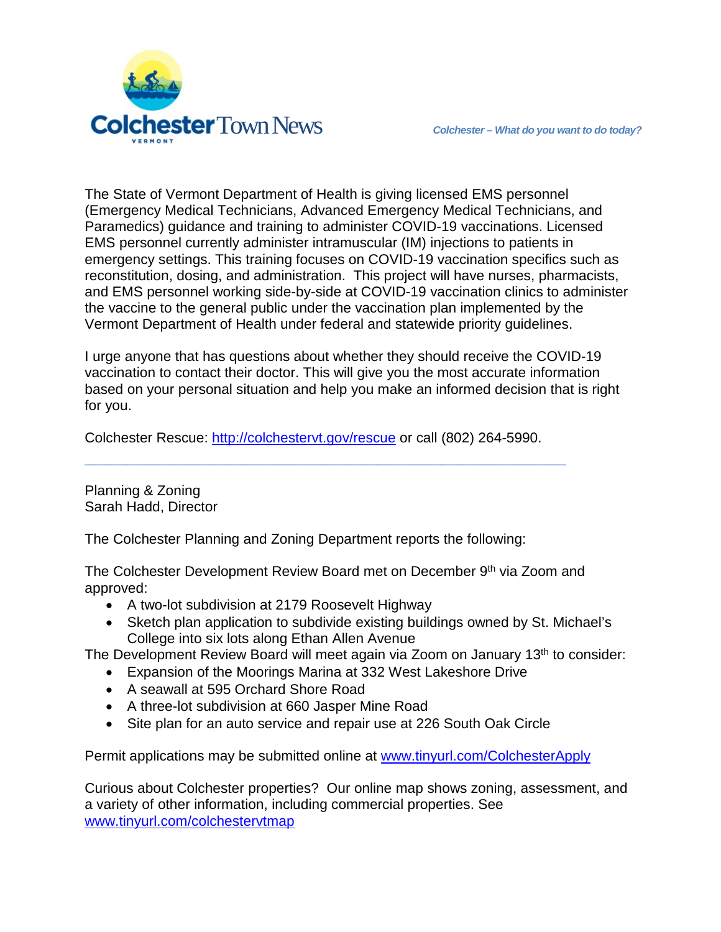

The State of Vermont Department of Health is giving licensed EMS personnel (Emergency Medical Technicians, Advanced Emergency Medical Technicians, and Paramedics) guidance and training to administer COVID-19 vaccinations. Licensed EMS personnel currently administer intramuscular (IM) injections to patients in emergency settings. This training focuses on COVID-19 vaccination specifics such as reconstitution, dosing, and administration. This project will have nurses, pharmacists, and EMS personnel working side-by-side at COVID-19 vaccination clinics to administer the vaccine to the general public under the vaccination plan implemented by the Vermont Department of Health under federal and statewide priority guidelines.

I urge anyone that has questions about whether they should receive the COVID-19 vaccination to contact their doctor. This will give you the most accurate information based on your personal situation and help you make an informed decision that is right for you.

Colchester Rescue: [http://colchestervt.gov/rescue](http://colchestervt.gov/rescue/index.shtml) or call (802) 264-5990.

**\_\_\_\_\_\_\_\_\_\_\_\_\_\_\_\_\_\_\_\_\_\_\_\_\_\_\_\_\_\_\_\_\_\_\_\_\_\_\_\_\_\_\_\_\_\_**

Planning & Zoning Sarah Hadd, Director

The Colchester Planning and Zoning Department reports the following:

The Colchester Development Review Board met on December 9<sup>th</sup> via Zoom and approved:

- A two-lot subdivision at 2179 Roosevelt Highway
- Sketch plan application to subdivide existing buildings owned by St. Michael's College into six lots along Ethan Allen Avenue
- The Development Review Board will meet again via Zoom on January 13<sup>th</sup> to consider:
	- Expansion of the Moorings Marina at 332 West Lakeshore Drive
	- A seawall at 595 Orchard Shore Road
	- A three-lot subdivision at 660 Jasper Mine Road
	- Site plan for an auto service and repair use at 226 South Oak Circle

Permit applications may be submitted online at [www.tinyurl.com/ColchesterApply](http://www.tinyurl.com/ColchesterApply)

Curious about Colchester properties? Our online map shows zoning, assessment, and a variety of other information, including commercial properties. See [www.tinyurl.com/colchestervtmap](http://www.tinyurl.com/colchestervtmap)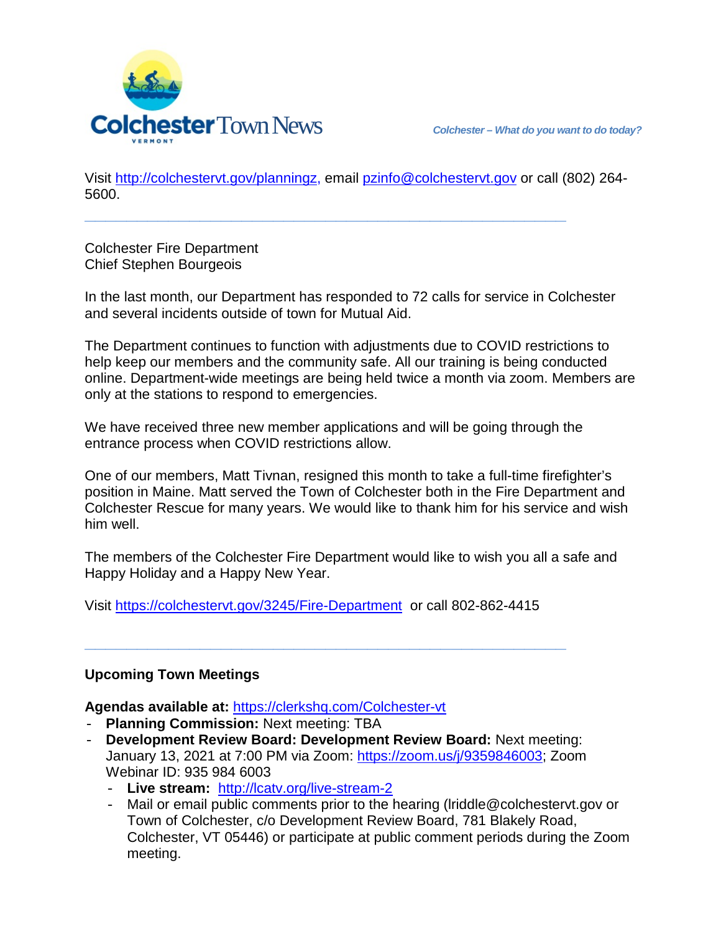

Visit [http://colchestervt.gov/planningz,](http://colchestervt.gov/planningz) email [pzinfo@colchestervt.gov](mailto:pzinfo@colchestervt.gov) or call (802) 264- 5600.

**\_\_\_\_\_\_\_\_\_\_\_\_\_\_\_\_\_\_\_\_\_\_\_\_\_\_\_\_\_\_\_\_\_\_\_\_\_\_\_\_\_\_\_\_\_\_**

Colchester Fire Department Chief Stephen Bourgeois

In the last month, our Department has responded to 72 calls for service in Colchester and several incidents outside of town for Mutual Aid.

The Department continues to function with adjustments due to COVID restrictions to help keep our members and the community safe. All our training is being conducted online. Department-wide meetings are being held twice a month via zoom. Members are only at the stations to respond to emergencies.

We have received three new member applications and will be going through the entrance process when COVID restrictions allow.

One of our members, Matt Tivnan, resigned this month to take a full-time firefighter's position in Maine. Matt served the Town of Colchester both in the Fire Department and Colchester Rescue for many years. We would like to thank him for his service and wish him well.

The members of the Colchester Fire Department would like to wish you all a safe and Happy Holiday and a Happy New Year.

Visit<https://colchestervt.gov/3245/Fire-Department> or call 802-862-4415

**\_\_\_\_\_\_\_\_\_\_\_\_\_\_\_\_\_\_\_\_\_\_\_\_\_\_\_\_\_\_\_\_\_\_\_\_\_\_\_\_\_\_\_\_\_\_**

## **Upcoming Town Meetings**

**Agendas available at:** <https://clerkshq.com/Colchester-vt>

- **Planning Commission:** Next meeting: TBA
- **Development Review Board: Development Review Board:** Next meeting: January 13, 2021 at 7:00 PM via Zoom: [https://zoom.us/j/9359846003;](https://zoom.us/j/9359846003) Zoom Webinar ID: 935 984 6003
	- **Live stream:** <http://lcatv.org/live-stream-2>
	- Mail or email public comments prior to the hearing (lriddle@colchestervt.gov or Town of Colchester, c/o Development Review Board, 781 Blakely Road, Colchester, VT 05446) or participate at public comment periods during the Zoom meeting.